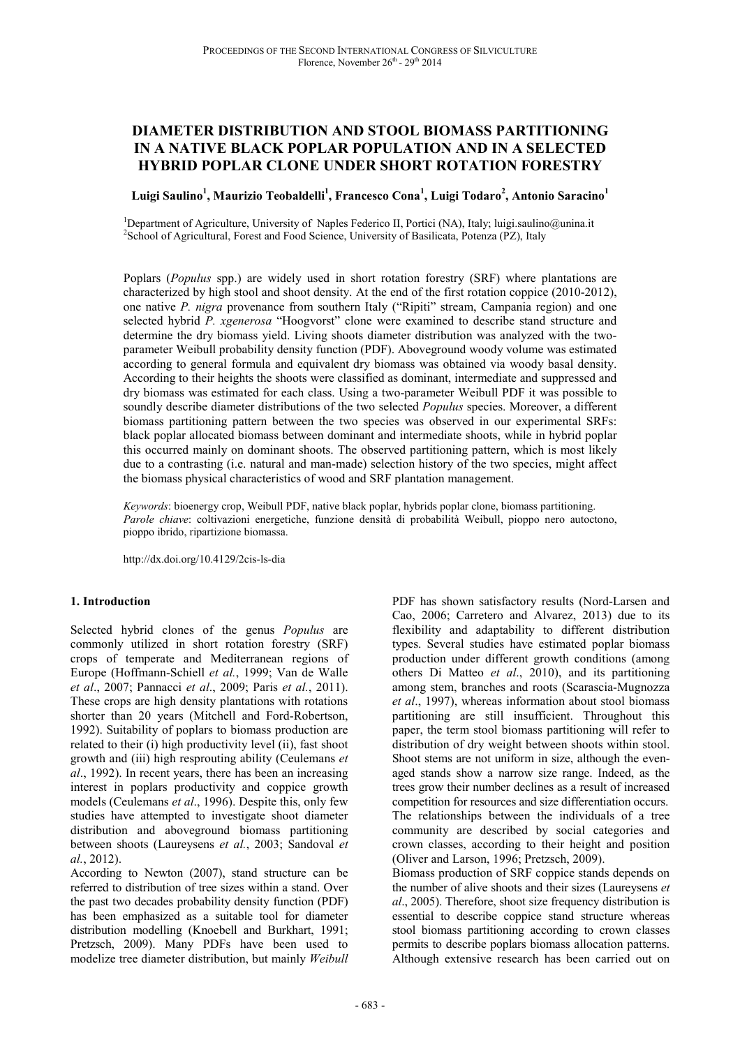# **DIAMETER DISTRIBUTION AND STOOL BIOMASS PARTITIONING IN A NATIVE BLACK POPLAR POPULATION AND IN A SELECTED HYBRID POPLAR CLONE UNDER SHORT ROTATION FORESTRY**

## **Luigi Saulino<sup>1</sup> , Maurizio Teobaldelli<sup>1</sup> , Francesco Cona<sup>1</sup> , Luigi Todaro<sup>2</sup> , Antonio Saracino<sup>1</sup>**

<sup>1</sup>Department of Agriculture, University of Naples Federico II, Portici (NA), Italy; luigi.saulino@unina.it <sup>2</sup>School of Agricultural, Forest and Food Science, University of Basilicata, Potenza (PZ), Italy

Poplars (*Populus* spp.) are widely used in short rotation forestry (SRF) where plantations are characterized by high stool and shoot density. At the end of the first rotation coppice (2010-2012), one native *P. nigra* provenance from southern Italy ("Ripiti" stream, Campania region) and one selected hybrid *P. xgenerosa* "Hoogvorst" clone were examined to describe stand structure and determine the dry biomass yield. Living shoots diameter distribution was analyzed with the twoparameter Weibull probability density function (PDF). Aboveground woody volume was estimated according to general formula and equivalent dry biomass was obtained via woody basal density. According to their heights the shoots were classified as dominant, intermediate and suppressed and dry biomass was estimated for each class. Using a two-parameter Weibull PDF it was possible to soundly describe diameter distributions of the two selected *Populus* species. Moreover, a different biomass partitioning pattern between the two species was observed in our experimental SRFs: black poplar allocated biomass between dominant and intermediate shoots, while in hybrid poplar this occurred mainly on dominant shoots. The observed partitioning pattern, which is most likely due to a contrasting (i.e. natural and man-made) selection history of the two species, might affect the biomass physical characteristics of wood and SRF plantation management.

*Keywords*: bioenergy crop, Weibull PDF, native black poplar, hybrids poplar clone, biomass partitioning. *Parole chiave*: coltivazioni energetiche, funzione densità di probabilità Weibull, pioppo nero autoctono, pioppo ibrido, ripartizione biomassa.

http://dx.doi.org/10.4129/2cis-ls-dia

## **1. Introduction**

Selected hybrid clones of the genus *Populus* are commonly utilized in short rotation forestry (SRF) crops of temperate and Mediterranean regions of Europe (Hoffmann-Schiell *et al.*, 1999; Van de Walle *et al*., 2007; Pannacci *et al*., 2009; Paris *et al.*, 2011). These crops are high density plantations with rotations shorter than 20 years (Mitchell and Ford-Robertson, 1992). Suitability of poplars to biomass production are related to their (i) high productivity level (ii), fast shoot growth and (iii) high resprouting ability (Ceulemans *et al*., 1992). In recent years, there has been an increasing interest in poplars productivity and coppice growth models (Ceulemans *et al*., 1996). Despite this, only few studies have attempted to investigate shoot diameter distribution and aboveground biomass partitioning between shoots (Laureysens *et al.*, 2003; Sandoval *et al.*, 2012).

According to Newton (2007), stand structure can be referred to distribution of tree sizes within a stand. Over the past two decades probability density function (PDF) has been emphasized as a suitable tool for diameter distribution modelling (Knoebell and Burkhart, 1991; Pretzsch, 2009). Many PDFs have been used to modelize tree diameter distribution, but mainly *Weibull* 

PDF has shown satisfactory results (Nord-Larsen and Cao, 2006; Carretero and Alvarez, 2013) due to its flexibility and adaptability to different distribution types. Several studies have estimated poplar biomass production under different growth conditions (among others Di Matteo *et al*., 2010), and its partitioning among stem, branches and roots (Scarascia-Mugnozza *et al*., 1997), whereas information about stool biomass partitioning are still insufficient. Throughout this paper, the term stool biomass partitioning will refer to distribution of dry weight between shoots within stool. Shoot stems are not uniform in size, although the evenaged stands show a narrow size range. Indeed, as the trees grow their number declines as a result of increased competition for resources and size differentiation occurs. The relationships between the individuals of a tree community are described by social categories and crown classes, according to their height and position (Oliver and Larson, 1996; Pretzsch, 2009).

Biomass production of SRF coppice stands depends on the number of alive shoots and their sizes (Laureysens *et al*., 2005). Therefore, shoot size frequency distribution is essential to describe coppice stand structure whereas stool biomass partitioning according to crown classes permits to describe poplars biomass allocation patterns. Although extensive research has been carried out on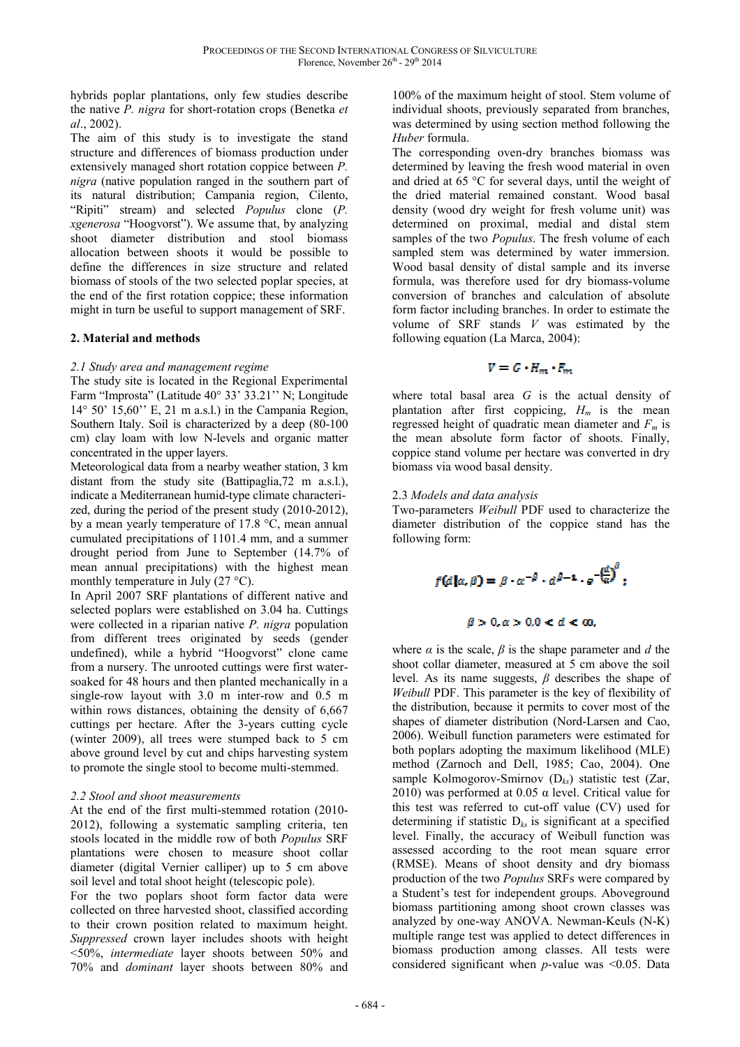hybrids poplar plantations, only few studies describe the native *P. nigra* for short-rotation crops (Benetka *et al*., 2002).

The aim of this study is to investigate the stand structure and differences of biomass production under extensively managed short rotation coppice between *P. nigra* (native population ranged in the southern part of its natural distribution; Campania region, Cilento, "Ripiti" stream) and selected *Populus* clone (*P. xgenerosa* "Hoogvorst"). We assume that, by analyzing shoot diameter distribution and stool biomass allocation between shoots it would be possible to define the differences in size structure and related biomass of stools of the two selected poplar species, at the end of the first rotation coppice; these information might in turn be useful to support management of SRF.

#### **2. Material and methods**

#### *2.1 Study area and management regime*

The study site is located in the Regional Experimental Farm "Improsta" (Latitude 40° 33' 33.21'' N; Longitude 14° 50' 15,60'' E, 21 m a.s.l.) in the Campania Region, Southern Italy. Soil is characterized by a deep (80-100 cm) clay loam with low N-levels and organic matter concentrated in the upper layers.

Meteorological data from a nearby weather station, 3 km distant from the study site (Battipaglia,72 m a.s.l.), indicate a Mediterranean humid-type climate characterized, during the period of the present study (2010-2012), by a mean yearly temperature of 17.8 °C, mean annual cumulated precipitations of 1101.4 mm, and a summer drought period from June to September (14.7% of mean annual precipitations) with the highest mean monthly temperature in July  $(27 \degree C)$ .

In April 2007 SRF plantations of different native and selected poplars were established on 3.04 ha. Cuttings were collected in a riparian native *P. nigra* population from different trees originated by seeds (gender undefined), while a hybrid "Hoogvorst" clone came from a nursery. The unrooted cuttings were first watersoaked for 48 hours and then planted mechanically in a single-row layout with 3.0 m inter-row and 0.5 m within rows distances, obtaining the density of 6,667 cuttings per hectare. After the 3-years cutting cycle (winter 2009), all trees were stumped back to 5 cm above ground level by cut and chips harvesting system to promote the single stool to become multi-stemmed.

#### *2.2 Stool and shoot measurements*

At the end of the first multi-stemmed rotation (2010- 2012), following a systematic sampling criteria, ten stools located in the middle row of both *Populus* SRF plantations were chosen to measure shoot collar diameter (digital Vernier calliper) up to 5 cm above soil level and total shoot height (telescopic pole).

For the two poplars shoot form factor data were collected on three harvested shoot, classified according to their crown position related to maximum height. *Suppressed* crown layer includes shoots with height <50%, *intermediate* layer shoots between 50% and 70% and *dominant* layer shoots between 80% and 100% of the maximum height of stool. Stem volume of individual shoots, previously separated from branches, was determined by using section method following the *Huber* formula.

The corresponding oven-dry branches biomass was determined by leaving the fresh wood material in oven and dried at 65 °C for several days, until the weight of the dried material remained constant. Wood basal density (wood dry weight for fresh volume unit) was determined on proximal, medial and distal stem samples of the two *Populus*. The fresh volume of each sampled stem was determined by water immersion. Wood basal density of distal sample and its inverse formula, was therefore used for dry biomass-volume conversion of branches and calculation of absolute form factor including branches. In order to estimate the volume of SRF stands *V* was estimated by the following equation (La Marca, 2004):

$$
V = G \cdot H_m \cdot F_m
$$

where total basal area *G* is the actual density of plantation after first coppicing,  $H_m$  is the mean regressed height of quadratic mean diameter and *Fm* is the mean absolute form factor of shoots. Finally, coppice stand volume per hectare was converted in dry biomass via wood basal density.

#### 2.3 *Models and data analysis*

Two-parameters *Weibull* PDF used to characterize the diameter distribution of the coppice stand has the following form:

$$
f(d\,\vert \alpha,\beta) = \beta \cdot \alpha^{-\beta} \cdot d^{\beta-1} \cdot e^{-\left(\frac{d}{\alpha}\right)^{\beta}};
$$

## $\beta > 0, \alpha > 0.0 < d < \infty$ ,

where  $\alpha$  is the scale,  $\beta$  is the shape parameter and  $d$  the shoot collar diameter, measured at 5 cm above the soil level. As its name suggests, *β* describes the shape of *Weibull* PDF. This parameter is the key of flexibility of the distribution, because it permits to cover most of the shapes of diameter distribution (Nord-Larsen and Cao, 2006). Weibull function parameters were estimated for both poplars adopting the maximum likelihood (MLE) method (Zarnoch and Dell, 1985; Cao, 2004). One sample Kolmogorov-Smirnov (D*ks*) statistic test (Zar, 2010) was performed at 0.05  $\alpha$  level. Critical value for this test was referred to cut-off value (CV) used for determining if statistic D*ks* is significant at a specified level. Finally, the accuracy of Weibull function was assessed according to the root mean square error (RMSE). Means of shoot density and dry biomass production of the two *Populus* SRFs were compared by a Student's test for independent groups. Aboveground biomass partitioning among shoot crown classes was analyzed by one-way ANOVA. Newman-Keuls (N-K) multiple range test was applied to detect differences in biomass production among classes. All tests were considered significant when *p*-value was <0.05. Data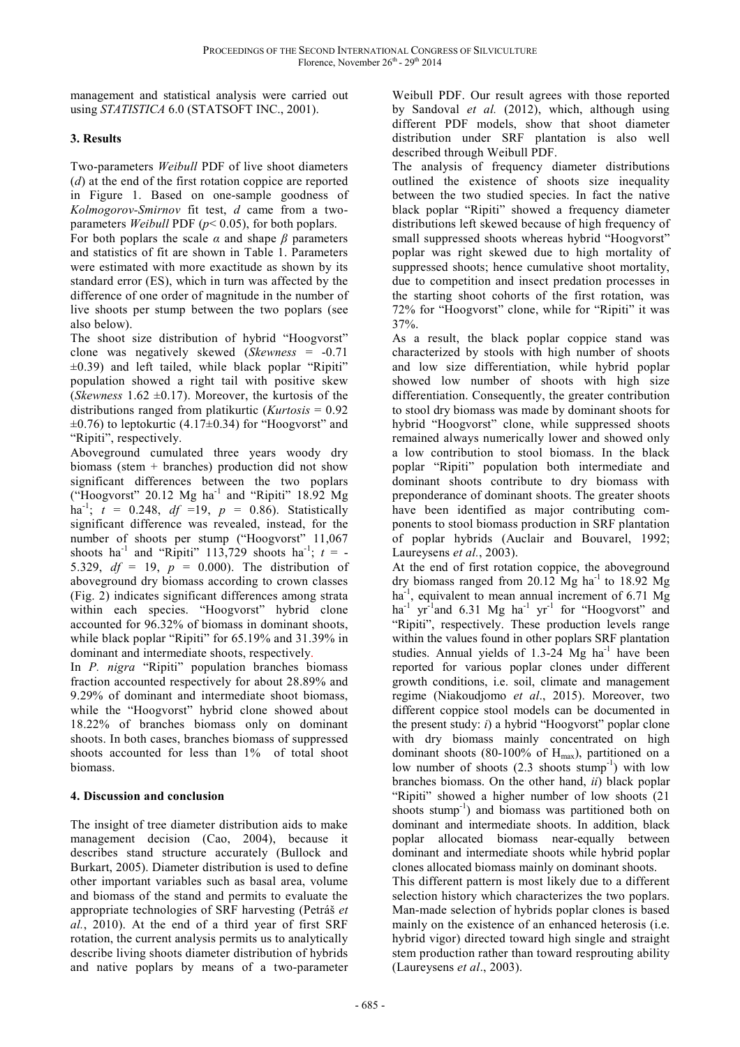management and statistical analysis were carried out using *STATISTICA* 6.0 (STATSOFT INC., 2001).

## **3. Results**

Two-parameters *Weibull* PDF of live shoot diameters (*d*) at the end of the first rotation coppice are reported in Figure 1. Based on one-sample goodness of *Kolmogorov-Smirnov* fit test, *d* came from a twoparameters *Weibull* PDF (*p*< 0.05), for both poplars.

For both poplars the scale  $\alpha$  and shape  $\beta$  parameters and statistics of fit are shown in Table 1. Parameters were estimated with more exactitude as shown by its standard error (ES), which in turn was affected by the difference of one order of magnitude in the number of live shoots per stump between the two poplars (see also below).

The shoot size distribution of hybrid "Hoogvorst" clone was negatively skewed (*Skewness* = -0.71  $\pm$ 0.39) and left tailed, while black poplar "Ripiti" population showed a right tail with positive skew (*Skewness* 1.62  $\pm$ 0.17). Moreover, the kurtosis of the distributions ranged from platikurtic (*Kurtosis* = 0.92  $\pm 0.76$ ) to leptokurtic (4.17 $\pm 0.34$ ) for "Hoogvorst" and "Ripiti", respectively.

Aboveground cumulated three years woody dry biomass (stem + branches) production did not show significant differences between the two poplars ("Hoogvorst" 20.12  $Mg$  ha<sup>-1</sup> and "Ripiti" 18.92  $Mg$ ha<sup>-1</sup>;  $t = 0.248$ ,  $df = 19$ ,  $p = 0.86$ ). Statistically significant difference was revealed, instead, for the number of shoots per stump ("Hoogvorst" 11,067 shoots ha<sup>-1</sup> and "Ripiti" 113,729 shoots ha<sup>-1</sup>;  $t = -$ 5.329,  $df = 19$ ,  $p = 0.000$ ). The distribution of aboveground dry biomass according to crown classes (Fig. 2) indicates significant differences among strata within each species. "Hoogvorst" hybrid clone accounted for 96.32% of biomass in dominant shoots, while black poplar "Ripiti" for 65.19% and 31.39% in dominant and intermediate shoots, respectively.

In *P. nigra* "Ripiti" population branches biomass fraction accounted respectively for about 28.89% and 9.29% of dominant and intermediate shoot biomass, while the "Hoogvorst" hybrid clone showed about 18.22% of branches biomass only on dominant shoots. In both cases, branches biomass of suppressed shoots accounted for less than 1% of total shoot biomass.

## **4. Discussion and conclusion**

The insight of tree diameter distribution aids to make management decision (Cao, 2004), because it describes stand structure accurately (Bullock and Burkart, 2005). Diameter distribution is used to define other important variables such as basal area, volume and biomass of the stand and permits to evaluate the appropriate technologies of SRF harvesting (Petráš *et al.*, 2010). At the end of a third year of first SRF rotation, the current analysis permits us to analytically describe living shoots diameter distribution of hybrids and native poplars by means of a two-parameter Weibull PDF. Our result agrees with those reported by Sandoval *et al.* (2012), which, although using different PDF models, show that shoot diameter distribution under SRF plantation is also well described through Weibull PDF.

The analysis of frequency diameter distributions outlined the existence of shoots size inequality between the two studied species. In fact the native black poplar "Ripiti" showed a frequency diameter distributions left skewed because of high frequency of small suppressed shoots whereas hybrid "Hoogvorst" poplar was right skewed due to high mortality of suppressed shoots; hence cumulative shoot mortality, due to competition and insect predation processes in the starting shoot cohorts of the first rotation, was 72% for "Hoogvorst" clone, while for "Ripiti" it was 37%.

As a result, the black poplar coppice stand was characterized by stools with high number of shoots and low size differentiation, while hybrid poplar showed low number of shoots with high size differentiation. Consequently, the greater contribution to stool dry biomass was made by dominant shoots for hybrid "Hoogvorst" clone, while suppressed shoots remained always numerically lower and showed only a low contribution to stool biomass. In the black poplar "Ripiti" population both intermediate and dominant shoots contribute to dry biomass with preponderance of dominant shoots. The greater shoots have been identified as major contributing components to stool biomass production in SRF plantation of poplar hybrids (Auclair and Bouvarel, 1992; Laureysens *et al.*, 2003).

At the end of first rotation coppice, the aboveground dry biomass ranged from 20.12 Mg ha<sup>-1</sup> to 18.92 Mg  $ha^{-1}$ , equivalent to mean annual increment of 6.71 Mg ha<sup>-1</sup> yr<sup>-1</sup>and 6.31 Mg ha<sup>-1</sup> yr<sup>-1</sup> for "Hoogvorst" and "Ripiti", respectively. These production levels range within the values found in other poplars SRF plantation studies. Annual yields of 1.3-24  $Mg$  ha<sup>-1</sup> have been reported for various poplar clones under different growth conditions, i.e. soil, climate and management regime (Niakoudjomo *et al*., 2015). Moreover, two different coppice stool models can be documented in the present study: *i*) a hybrid "Hoogvorst" poplar clone with dry biomass mainly concentrated on high dominant shoots (80-100% of  $H_{max}$ ), partitioned on a low number of shoots  $(2.3 \text{ shoots stump}^{-1})$  with low branches biomass. On the other hand, *ii*) black poplar "Ripiti" showed a higher number of low shoots (21 shoots stump<sup>-1</sup>) and biomass was partitioned both on dominant and intermediate shoots. In addition, black poplar allocated biomass near-equally between dominant and intermediate shoots while hybrid poplar clones allocated biomass mainly on dominant shoots.

This different pattern is most likely due to a different selection history which characterizes the two poplars. Man-made selection of hybrids poplar clones is based mainly on the existence of an enhanced heterosis (i.e. hybrid vigor) directed toward high single and straight stem production rather than toward resprouting ability (Laureysens *et al*., 2003).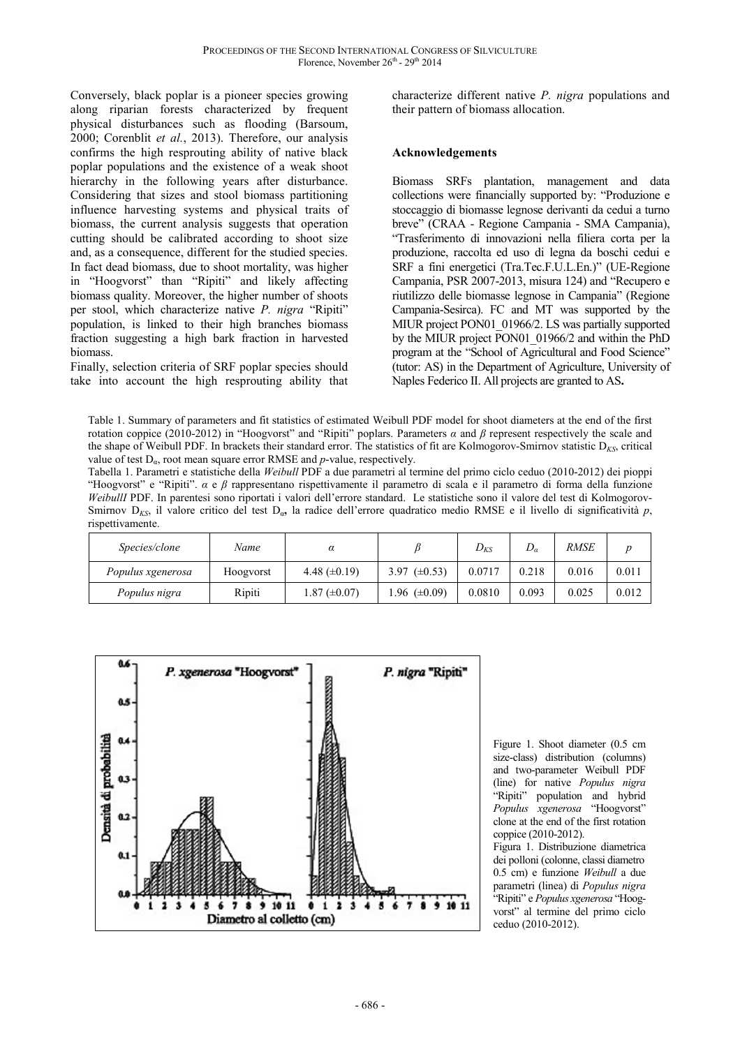Conversely, black poplar is a pioneer species growing along riparian forests characterized by frequent physical disturbances such as flooding (Barsoum, 2000; Corenblit *et al.*, 2013). Therefore, our analysis confirms the high resprouting ability of native black poplar populations and the existence of a weak shoot hierarchy in the following years after disturbance. Considering that sizes and stool biomass partitioning influence harvesting systems and physical traits of biomass, the current analysis suggests that operation cutting should be calibrated according to shoot size and, as a consequence, different for the studied species. In fact dead biomass, due to shoot mortality, was higher in "Hoogvorst" than "Ripiti" and likely affecting biomass quality. Moreover, the higher number of shoots per stool, which characterize native *P. nigra* "Ripiti" population, is linked to their high branches biomass fraction suggesting a high bark fraction in harvested biomass.

Finally, selection criteria of SRF poplar species should take into account the high resprouting ability that characterize different native *P. nigra* populations and their pattern of biomass allocation.

#### **Acknowledgements**

Biomass SRFs plantation, management and data collections were financially supported by: "Produzione e stoccaggio di biomasse legnose derivanti da cedui a turno breve" (CRAA - Regione Campania - SMA Campania), "Trasferimento di innovazioni nella filiera corta per la produzione, raccolta ed uso di legna da boschi cedui e SRF a fini energetici (Tra.Tec.F.U.L.En.)" (UE-Regione Campania, PSR 2007-2013, misura 124) and "Recupero e riutilizzo delle biomasse legnose in Campania" (Regione Campania-Sesirca). FC and MT was supported by the MIUR project PON01\_01966/2. LS was partially supported by the MIUR project PON01\_01966/2 and within the PhD program at the "School of Agricultural and Food Science" (tutor: AS) in the Department of Agriculture, University of Naples Federico II. All projects are granted to AS**.** 

Table 1. Summary of parameters and fit statistics of estimated Weibull PDF model for shoot diameters at the end of the first rotation coppice (2010-2012) in "Hoogvorst" and "Ripiti" poplars. Parameters *α* and *β* represent respectively the scale and the shape of Weibull PDF. In brackets their standard error. The statistics of fit are Kolmogorov-Smirnov statistic  $D_{KS}$ , critical value of test  $D_{\alpha}$ , root mean square error RMSE and *p*-value, respectively.

Tabella 1. Parametri e statistiche della *Weibull* PDF a due parametri al termine del primo ciclo ceduo (2010-2012) dei pioppi "Hoogvorst" e "Ripiti". *α* e *β* rappresentano rispettivamente il parametro di scala e il parametro di forma della funzione *WeibullI* PDF. In parentesi sono riportati i valori dell'errore standard. Le statistiche sono il valore del test di Kolmogorov-Smirnov D*KS*, il valore critico del test Dα**,** la radice dell'errore quadratico medio RMSE e il livello di significatività *p*, rispettivamente.

| Species/clone     | Name      | α                   |                   | $D_{KS}$ | $\nu_a$ | <i>RMSE</i> |       |
|-------------------|-----------|---------------------|-------------------|----------|---------|-------------|-------|
| Populus xgenerosa | Hoogyorst | 4.48 $(\pm 0.19)$   | 3.97 $(\pm 0.53)$ | 0.0717   | 0.218   | 0.016       | 0.011 |
| Populus nigra     | Ripiti    | $1.87 \ (\pm 0.07)$ | 1.96 $(\pm 0.09)$ | 0.0810   | 0.093   | 0.025       | 0.012 |



Figure 1. Shoot diameter (0.5 cm size-class) distribution (columns) and two-parameter Weibull PDF (line) for native *Populus nigra* "Ripiti" population and hybrid *Populus xgenerosa* "Hoogvorst" clone at the end of the first rotation coppice (2010-2012).

Figura 1. Distribuzione diametrica dei polloni (colonne, classi diametro 0.5 cm) e funzione *Weibull* a due parametri (linea) di *Populus nigra* "Ripiti" e *Populus xgenerosa* "Hoogvorst" al termine del primo ciclo ceduo (2010-2012).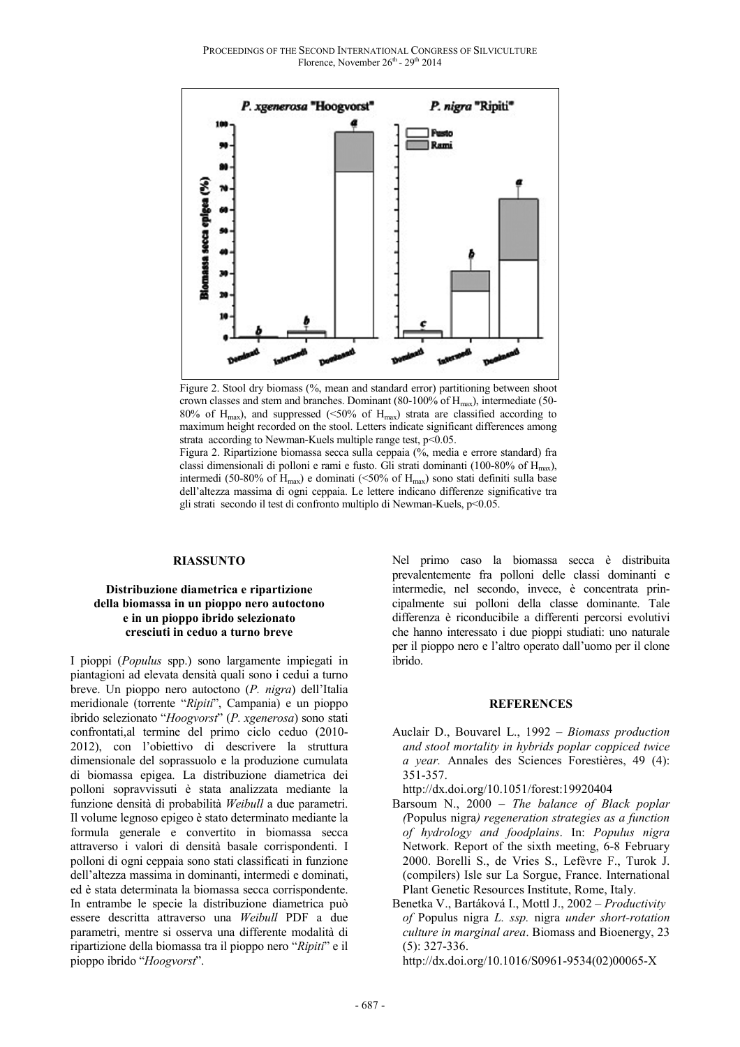PROCEEDINGS OF THE SECOND INTERNATIONAL CONGRESS OF SILVICULTURE Florence, November 26<sup>th</sup> - 29<sup>th</sup> 2014



Figure 2. Stool dry biomass (%, mean and standard error) partitioning between shoot crown classes and stem and branches. Dominant (80-100% of  $H_{\text{max}}$ ), intermediate (50-80% of  $H_{\text{max}}$ ), and suppressed (<50% of  $H_{\text{max}}$ ) strata are classified according to maximum height recorded on the stool. Letters indicate significant differences among strata according to Newman-Kuels multiple range test,  $p<0.05$ .

Figura 2. Ripartizione biomassa secca sulla ceppaia (%, media e errore standard) fra classi dimensionali di polloni e rami e fusto. Gli strati dominanti (100-80% of  $H_{\text{max}}$ ), intermedi (50-80% of  $H_{\text{max}}$ ) e dominati (<50% of  $H_{\text{max}}$ ) sono stati definiti sulla base dell'altezza massima di ogni ceppaia. Le lettere indicano differenze significative tra gli strati secondo il test di confronto multiplo di Newman-Kuels, p<0.05.

#### **RIASSUNTO**

#### **Distribuzione diametrica e ripartizione della biomassa in un pioppo nero autoctono e in un pioppo ibrido selezionato cresciuti in ceduo a turno breve**

I pioppi (*Populus* spp.) sono largamente impiegati in piantagioni ad elevata densità quali sono i cedui a turno breve. Un pioppo nero autoctono (*P. nigra*) dell'Italia meridionale (torrente "*Ripiti*", Campania) e un pioppo ibrido selezionato "*Hoogvorst*" (*P. xgenerosa*) sono stati confrontati,al termine del primo ciclo ceduo (2010- 2012), con l'obiettivo di descrivere la struttura dimensionale del soprassuolo e la produzione cumulata di biomassa epigea. La distribuzione diametrica dei polloni sopravvissuti è stata analizzata mediante la funzione densità di probabilità *Weibull* a due parametri. Il volume legnoso epigeo è stato determinato mediante la formula generale e convertito in biomassa secca attraverso i valori di densità basale corrispondenti. I polloni di ogni ceppaia sono stati classificati in funzione dell'altezza massima in dominanti, intermedi e dominati, ed è stata determinata la biomassa secca corrispondente. In entrambe le specie la distribuzione diametrica può essere descritta attraverso una *Weibull* PDF a due parametri, mentre si osserva una differente modalità di ripartizione della biomassa tra il pioppo nero "*Ripiti*" e il pioppo ibrido "*Hoogvorst*".

Nel primo caso la biomassa secca è distribuita prevalentemente fra polloni delle classi dominanti e intermedie, nel secondo, invece, è concentrata principalmente sui polloni della classe dominante. Tale differenza è riconducibile a differenti percorsi evolutivi che hanno interessato i due pioppi studiati: uno naturale per il pioppo nero e l'altro operato dall'uomo per il clone ibrido.

#### **REFERENCES**

Auclair D., Bouvarel L., 1992 – *Biomass production and stool mortality in hybrids poplar coppiced twice a year.* Annales des Sciences Forestières, 49 (4): 351-357.

http://dx.doi.org/10.1051/forest:19920404

- Barsoum N., 2000 *The balance of Black poplar (*Populus nigra*) regeneration strategies as a function of hydrology and foodplains*. In: *Populus nigra* Network. Report of the sixth meeting, 6-8 February 2000. Borelli S., de Vries S., Lefèvre F., Turok J. (compilers) Isle sur La Sorgue, France. International Plant Genetic Resources Institute, Rome, Italy.
- Benetka V., Bartáková I., Mottl J., 2002 *Productivity of* Populus nigra *L. ssp.* nigra *under short-rotation culture in marginal area*. Biomass and Bioenergy, 23 (5): 327-336.

http://dx.doi.org/10.1016/S0961-9534(02)00065-X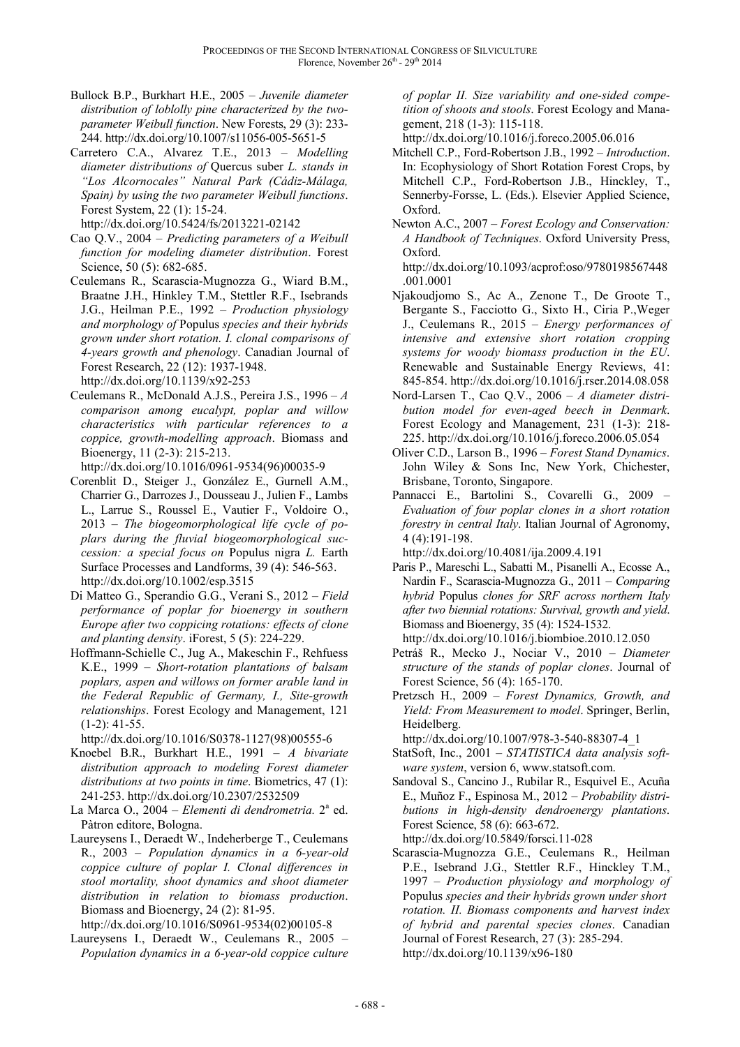- Bullock B.P., Burkhart H.E., 2005 *Juvenile diameter distribution of loblolly pine characterized by the twoparameter Weibull function*. New Forests, 29 (3): 233- 244. http://dx.doi.org/10.1007/s11056-005-5651-5
- Carretero C.A., Alvarez T.E., 2013 *Modelling diameter distributions of* Quercus suber *L. stands in "Los Alcornocales" Natural Park (Cádiz-Málaga, Spain) by using the two parameter Weibull functions*. Forest System, 22 (1): 15-24.

http://dx.doi.org/10.5424/fs/2013221-02142

- Cao Q.V., 2004 *Predicting parameters of a Weibull function for modeling diameter distribution*. Forest Science, 50 (5): 682-685.
- Ceulemans R., Scarascia-Mugnozza G., Wiard B.M., Braatne J.H., Hinkley T.M., Stettler R.F., Isebrands J.G., Heilman P.E., 1992 – *Production physiology and morphology of* Populus *species and their hybrids grown under short rotation. I. clonal comparisons of 4-years growth and phenology*. Canadian Journal of Forest Research, 22 (12): 1937-1948. http://dx.doi.org/10.1139/x92-253
- Ceulemans R., McDonald A.J.S., Pereira J.S., 1996 *A comparison among eucalypt, poplar and willow characteristics with particular references to a coppice, growth-modelling approach*. Biomass and Bioenergy, 11 (2-3): 215-213. http://dx.doi.org/10.1016/0961-9534(96)00035-9
- Corenblit D., Steiger J., González E., Gurnell A.M., Charrier G., Darrozes J., Dousseau J., Julien F., Lambs L., Larrue S., Roussel E., Vautier F., Voldoire O., 2013 – *The biogeomorphological life cycle of poplars during the fluvial biogeomorphological succession: a special focus on* Populus nigra *L.* Earth Surface Processes and Landforms, 39 (4): 546-563. http://dx.doi.org/10.1002/esp.3515
- Di Matteo G., Sperandio G.G., Verani S., 2012 *Field performance of poplar for bioenergy in southern Europe after two coppicing rotations: effects of clone and planting density*. iForest, 5 (5): 224-229.
- Hoffmann-Schielle C., Jug A., Makeschin F., Rehfuess K.E., 1999 – *Short-rotation plantations of balsam poplars, aspen and willows on former arable land in the Federal Republic of Germany, I., Site-growth relationships*. Forest Ecology and Management, 121 (1-2): 41-55.

http://dx.doi.org/10.1016/S0378-1127(98)00555-6

- Knoebel B.R., Burkhart H.E., 1991 *A bivariate distribution approach to modeling Forest diameter distributions at two points in time*. Biometrics, 47 (1): 241-253. http://dx.doi.org/10.2307/2532509
- La Marca O., 2004 *Elementi di dendrometria*. 2<sup>ª</sup> ed. Pàtron editore, Bologna.
- Laureysens I., Deraedt W., Indeherberge T., Ceulemans R., 2003 – *Population dynamics in a 6-year-old coppice culture of poplar I. Clonal differences in stool mortality, shoot dynamics and shoot diameter distribution in relation to biomass production*. Biomass and Bioenergy, 24 (2): 81-95.

http://dx.doi.org/10.1016/S0961-9534(02)00105-8

Laureysens I., Deraedt W., Ceulemans R., 2005 – *Population dynamics in a 6-year-old coppice culture*  *of poplar II. Size variability and one-sided competition of shoots and stools*. Forest Ecology and Management, 218 (1-3): 115-118.

http://dx.doi.org/10.1016/j.foreco.2005.06.016

- Mitchell C.P., Ford-Robertson J.B., 1992 *Introduction*. In: Ecophysiology of Short Rotation Forest Crops, by Mitchell C.P., Ford-Robertson J.B., Hinckley, T., Sennerby-Forsse, L. (Eds.). Elsevier Applied Science, Oxford.
- Newton A.C., 2007 *Forest Ecology and Conservation: A Handbook of Techniques*. Oxford University Press, Oxford.

http://dx.doi.org/10.1093/acprof:oso/9780198567448 .001.0001

- Njakoudjomo S., Ac A., Zenone T., De Groote T., Bergante S., Facciotto G., Sixto H., Ciria P.,Weger J., Ceulemans R., 2015 – *Energy performances of intensive and extensive short rotation cropping systems for woody biomass production in the EU*. Renewable and Sustainable Energy Reviews, 41: 845-854. http://dx.doi.org/10.1016/j.rser.2014.08.058
- Nord-Larsen T., Cao Q.V., 2006 *A diameter distribution model for even-aged beech in Denmark*. Forest Ecology and Management, 231 (1-3): 218- 225. http://dx.doi.org/10.1016/j.foreco.2006.05.054
- Oliver C.D., Larson B., 1996 *Forest Stand Dynamics*. John Wiley & Sons Inc, New York, Chichester, Brisbane, Toronto, Singapore.
- Pannacci E., Bartolini S., Covarelli G., 2009 *Evaluation of four poplar clones in a short rotation forestry in central Italy*. Italian Journal of Agronomy, 4 (4):191-198.

http://dx.doi.org/10.4081/ija.2009.4.191

- Paris P., Mareschi L., Sabatti M., Pisanelli A., Ecosse A., Nardin F., Scarascia-Mugnozza G., 2011 – *Comparing hybrid* Populus *clones for SRF across northern Italy after two biennial rotations: Survival, growth and yield*. Biomass and Bioenergy, 35 (4): 1524-1532. http://dx.doi.org/10.1016/j.biombioe.2010.12.050
- Petráš R., Mecko J., Nociar V., 2010 *Diameter structure of the stands of poplar clones*. Journal of Forest Science, 56 (4): 165-170.
- Pretzsch H., 2009 *Forest Dynamics, Growth, and Yield: From Measurement to model*. Springer, Berlin, Heidelberg.

http://dx.doi.org/10.1007/978-3-540-88307-4\_1

- StatSoft, Inc., 2001 *STATISTICA data analysis software system*, version 6, www.statsoft.com.
- Sandoval S., Cancino J., Rubilar R., Esquivel E., Acuña E., Muñoz F., Espinosa M., 2012 – *Probability distributions in high-density dendroenergy plantations*. Forest Science, 58 (6): 663-672. http://dx.doi.org/10.5849/forsci.11-028

Scarascia-Mugnozza G.E., Ceulemans R., Heilman P.E., Isebrand J.G., Stettler R.F., Hinckley T.M., 1997 – *Production physiology and morphology of*  Populus *species and their hybrids grown under short rotation. II. Biomass components and harvest index of hybrid and parental species clones*. Canadian Journal of Forest Research, 27 (3): 285-294. http://dx.doi.org/10.1139/x96-180